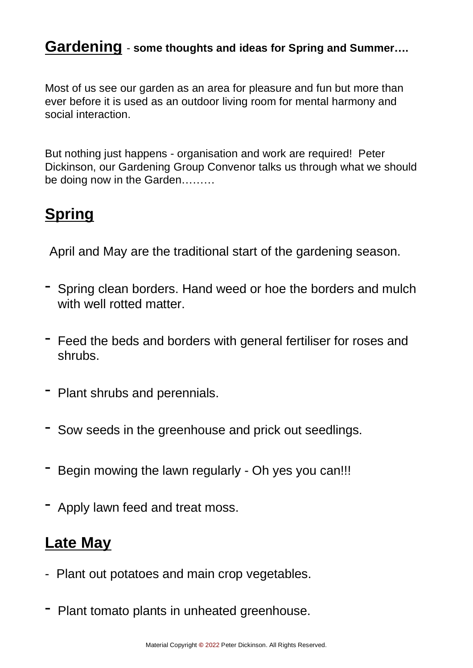## **Gardening** - **some thoughts and ideas for Spring and Summer….**

Most of us see our garden as an area for pleasure and fun but more than ever before it is used as an outdoor living room for mental harmony and social interaction.

But nothing just happens - organisation and work are required! Peter Dickinson, our Gardening Group Convenor talks us through what we should be doing now in the Garden………

## **Spring**

April and May are the traditional start of the gardening season.

- Spring clean borders. Hand weed or hoe the borders and mulch with well rotted matter.
- Feed the beds and borders with general fertiliser for roses and shrubs.
- Plant shrubs and perennials.
- Sow seeds in the greenhouse and prick out seedlings.
- Begin mowing the lawn regularly Oh yes you can!!!
- Apply lawn feed and treat moss.

## **Late May**

- Plant out potatoes and main crop vegetables.
- Plant tomato plants in unheated greenhouse.